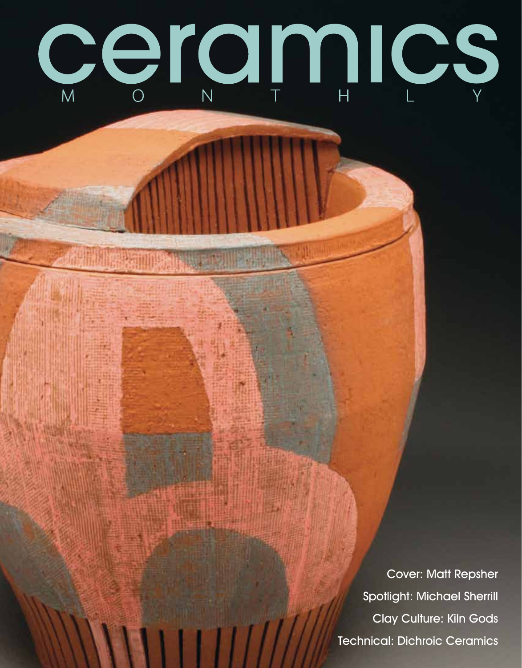

Cover: Matt Repsher Spotlight: Michael Sherrill Clay Culture: Kiln Gods Technical: Dichroic Ceramics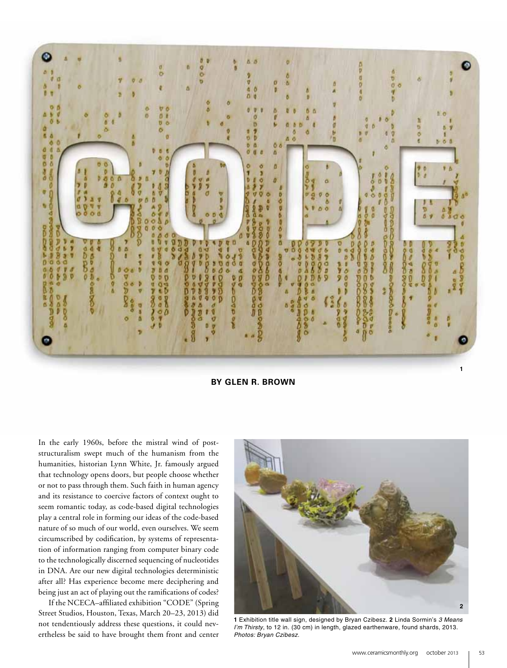

**by Glen R. Brown**

In the early 1960s, before the mistral wind of poststructuralism swept much of the humanism from the humanities, historian Lynn White, Jr. famously argued that technology opens doors, but people choose whether or not to pass through them. Such faith in human agency and its resistance to coercive factors of context ought to seem romantic today, as code-based digital technologies play a central role in forming our ideas of the code-based nature of so much of our world, even ourselves. We seem circumscribed by codification, by systems of representation of information ranging from computer binary code to the technologically discerned sequencing of nucleotides in DNA. Are our new digital technologies deterministic after all? Has experience become mere deciphering and being just an act of playing out the ramifications of codes?

If the NCECA–affiliated exhibition "CODE" (Spring Street Studios, Houston, Texas, March 20–23, 2013) did not tendentiously address these questions, it could nevertheless be said to have brought them front and center



**1** Exhibition title wall sign, designed by Bryan Czibesz. **2** Linda Sormin's *3 Means I'm Thirsty*, to 12 in. (30 cm) in length, glazed earthenware, found shards, 2013. *Photos: Bryan Czibesz.*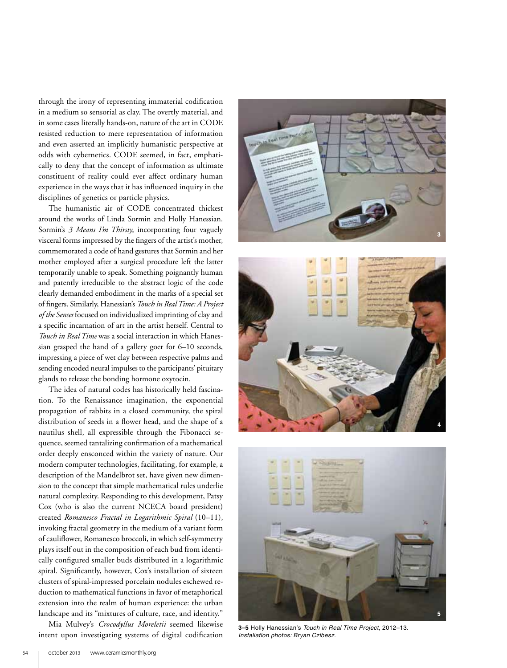through the irony of representing immaterial codification in a medium so sensorial as clay. The overtly material, and in some cases literally hands-on, nature of the art in CODE resisted reduction to mere representation of information and even asserted an implicitly humanistic perspective at odds with cybernetics. CODE seemed, in fact, emphatically to deny that the concept of information as ultimate constituent of reality could ever affect ordinary human experience in the ways that it has influenced inquiry in the disciplines of genetics or particle physics.

The humanistic air of CODE concentrated thickest around the works of Linda Sormin and Holly Hanessian. Sormin's *3 Means I'm Thirsty*, incorporating four vaguely visceral forms impressed by the fingers of the artist's mother, commemorated a code of hand gestures that Sormin and her mother employed after a surgical procedure left the latter temporarily unable to speak. Something poignantly human and patently irreducible to the abstract logic of the code clearly demanded embodiment in the marks of a special set of fingers. Similarly, Hanessian's *Touch in Real Time: A Project of the Senses* focused on individualized imprinting of clay and a specific incarnation of art in the artist herself. Central to *Touch in Real Time* was a social interaction in which Hanessian grasped the hand of a gallery goer for 6–10 seconds, impressing a piece of wet clay between respective palms and sending encoded neural impulses to the participants' pituitary glands to release the bonding hormone oxytocin.

The idea of natural codes has historically held fascination. To the Renaissance imagination, the exponential propagation of rabbits in a closed community, the spiral distribution of seeds in a flower head, and the shape of a nautilus shell, all expressible through the Fibonacci sequence, seemed tantalizing confirmation of a mathematical order deeply ensconced within the variety of nature. Our modern computer technologies, facilitating, for example, a description of the Mandelbrot set, have given new dimension to the concept that simple mathematical rules underlie natural complexity. Responding to this development, Patsy Cox (who is also the current NCECA board president) created *Romanesco Fractal in Logarithmic Spiral* (10–11), invoking fractal geometry in the medium of a variant form of cauliflower, Romanesco broccoli, in which self-symmetry plays itself out in the composition of each bud from identically configured smaller buds distributed in a logarithmic spiral. Significantly, however, Cox's installation of sixteen clusters of spiral-impressed porcelain nodules eschewed reduction to mathematical functions in favor of metaphorical extension into the realm of human experience: the urban landscape and its "mixtures of culture, race, and identity."

Mia Mulvey's *Crocodyllus Moreletii* seemed likewise intent upon investigating systems of digital codification







**3–5** Holly Hanessian's *Touch in Real Time Project*, 2012–13. *Installation photos: Bryan Czibesz.*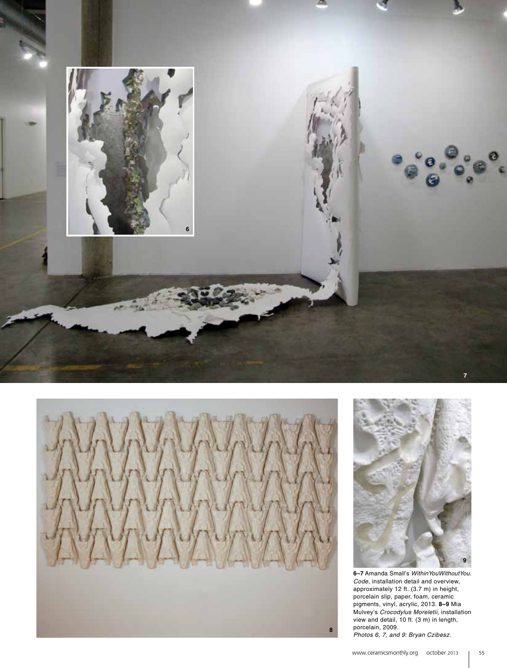

**8**



**6–7** Amanda Small's *WithinYouWithoutYou. Code*, installation detail and overview, approximately 12 ft. (3.7 m) in height, porcelain slip, paper, foam, ceramic pigments, vinyl, acrylic, 2013. **8–9** Mia Mulvey's *Crocodylus Moreletii*, installation view and detail, 10 ft. (3 m) in length, porcelain, 2009. *Photos 6, 7, and 9: Bryan Czibesz.*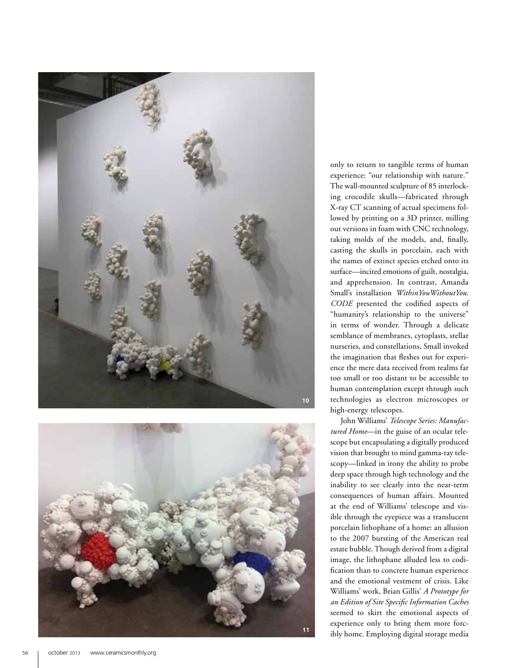



only to return to tangible terms of human experience: "our relationship with nature." The wall-mounted sculpture of 85 interlock ing crocodile skulls—fabricated through X-ray CT scanning of actual specimens fol lowed by printing on a 3D printer, milling out versions in foam with CNC technology, taking molds of the models, and, finally, casting the skulls in porcelain, each with the names of extinct species etched onto its surface—incited emotions of guilt, nostalgia, and apprehension. In contrast, Amanda Small's installation *WithinYouWithoutYou. CODE* presented the codified aspects of "humanity's relationship to the universe" in terms of wonder. Through a delicate semblance of membranes, cytoplasts, stellar nurseries, and constellations, Small invoked the imagination that fleshes out for experi ence the mere data received from realms far too small or too distant to be accessible to human contemplation except through such technologies as electron microscopes or high-energy telescopes.

John Williams' *Telescope Series: Manufac*  tured Home-in the guise of an ocular telescope but encapsulating a digitally produced vision that brought to mind gamma-ray tele scopy—linked in irony the ability to probe deep space through high technology and the inability to see clearly into the near-term consequences of human affairs. Mounted at the end of Williams' telescope and vis ible through the eyepiece was a translucent porcelain lithophane of a home: an allusion to the 2007 bursting of the American real estate bubble. Though derived from a digital image, the lithophane alluded less to codi fication than to concrete human experience and the emotional vestment of crisis. Like Williams' work, Brian Gillis' *A Prototype for an Edition of Site Specific Information Caches*  seemed to skirt the emotional aspects of experience only to bring them more forc ibly home. Employing digital storage media